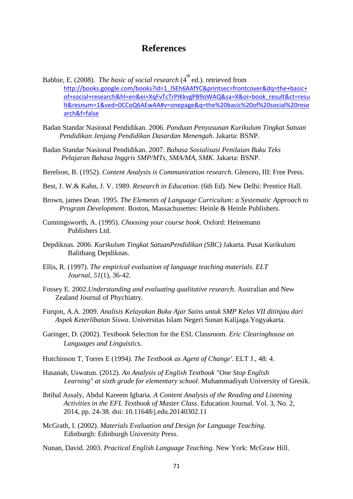## **References**

- Babbie, E. (2008). *The basic of social research* (4<sup>th</sup> ed.). retrieved from [http://books.google.com/books?id=1\\_lSEh6AAfYC&printsec=frontcover&dq=the+basic+](http://books.google.com/books?id=1_lSEh6AAfYC&printsec=frontcover&dq=the+basic+of+social+research&hl=en&ei=XqFvTcTrPIKkvgPB9oWAQ&sa=X&oi=book_result&ct=result&resnum=1&ved=0CCoQ6AEwAA#v=onepage&q=the%20basic%20of%20social%20research&f=false) [of+social+research&hl=en&ei=XqFvTcTrPIKkvgPB9oWAQ&sa=X&oi=book\\_result&ct=resu](http://books.google.com/books?id=1_lSEh6AAfYC&printsec=frontcover&dq=the+basic+of+social+research&hl=en&ei=XqFvTcTrPIKkvgPB9oWAQ&sa=X&oi=book_result&ct=result&resnum=1&ved=0CCoQ6AEwAA#v=onepage&q=the%20basic%20of%20social%20research&f=false) [lt&resnum=1&ved=0CCoQ6AEwAA#v=onepage&q=the%20basic%20of%20social%20rese](http://books.google.com/books?id=1_lSEh6AAfYC&printsec=frontcover&dq=the+basic+of+social+research&hl=en&ei=XqFvTcTrPIKkvgPB9oWAQ&sa=X&oi=book_result&ct=result&resnum=1&ved=0CCoQ6AEwAA#v=onepage&q=the%20basic%20of%20social%20research&f=false) [arch&f=false](http://books.google.com/books?id=1_lSEh6AAfYC&printsec=frontcover&dq=the+basic+of+social+research&hl=en&ei=XqFvTcTrPIKkvgPB9oWAQ&sa=X&oi=book_result&ct=result&resnum=1&ved=0CCoQ6AEwAA#v=onepage&q=the%20basic%20of%20social%20research&f=false)
- Badan Standar Nasional Pendidikan. 2006. *Panduan Penyusunan Kurikulum Tingkat Satuan Pendidikan Jenjang Pendidikan Dasardan Menengah*. Jakarta: BSNP.
- Badan Standar Nasional Pendidikan. 2007. *Bahasa Sosialisasi Penilaian Buku Teks Pelajaran Bahasa Inggris SMP/MTs, SMA/MA, SMK*. Jakarta: BSNP.
- Berelson, B. (1952). *Content Analysis is Communication research*. Glenceo, III: Free Press.
- Best, J. W.& Kahn, J. V. 1989. *Research in Education*. (6th Ed). New Delhi: Prentice Hall.
- Brown, james Dean. 1995. *The Elements of Language Curriculum: a Systematic Approach to Program Development*. Boston, Massachusettes: Heinle & Heinle Publishers.
- Cunningsworth, A. (1995). *Choosing your course book*. Oxford: Heinemann Publishers Ltd.
- Depdiknas. 2006. *Kurikulum Tingkat SatuanPendidikan (SBC)* Jakarta. Pusat Kurikulum Balitbang Depdiknas.
- Ellis, R. (1997). *The empirical evaluation of language teaching materials*. *ELT Journal, 51*(1), 36-42.
- Fossey E. 2002.*Understanding and evaluating qualitative research*. Australian and New Zealand Journal of Phychiatry.
- Furqon, A.A. 2009. *Analisis Kelayakan Buku Ajar Sains untuk SMP Kelas VII ditinjau dari Aspek Keterlibatan Siswa*. Universitas Islam Negeri Sunan Kalijaga.Yogyakarta.
- Garinger, D. (2002). Textbook Selection for the ESL Classroom. *Eric Clearinghouse on Languages and Linguistics*.
- Hutchinson T, Torres E (1994*). The Textbook as Agent of Change'*. ELT J., 48: 4.
- Hasanah, Uswatun. (2012). *An Analysis of English Textbook "One Stop English Learning" at sixth grade for elementary school*. Muhammadiyah University of Gresik.
- Ibtihal Assaly, Abdul Kareem Igbaria. *A Content Analysis of the Reading and Listening Activities in the EFL Textbook of Master Class*. Education Journal*.* Vol. 3, No. 2, 2014, pp. 24-38. doi: 10.11648/j.edu.20140302.11
- McGrath, I. (2002). *Materials Evaluation and Design for Language Teaching.*  Edinburgh: Edinburgh University Press.
- Nunan, David. 2003. *Practical English Language Teaching.* New York: McGraw Hill.